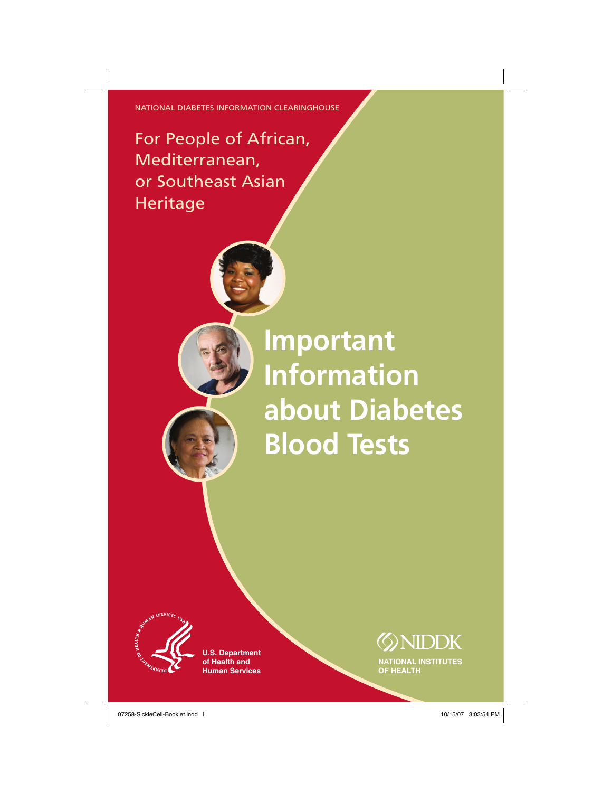NATIONAL DIABETES INFORMATION CLEARINGHOUSE

# For People of African, Mediterranean, or Southeast Asian Heritage

**Important Information about Diabetes Blood Tests**



**U.S. Department of Health and Human Services**

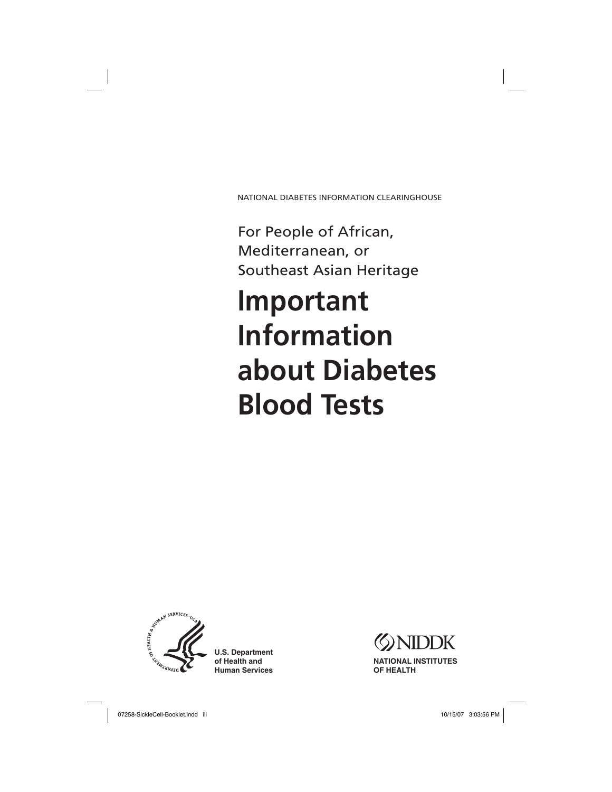NATIONAL DIABETES INFORMATION CLEARINGHOUSE

For People of African, Mediterranean, or Southeast Asian Heritage

# **Important Information about Diabetes Blood Tests**



**U.S. Department of Health and Human Services**

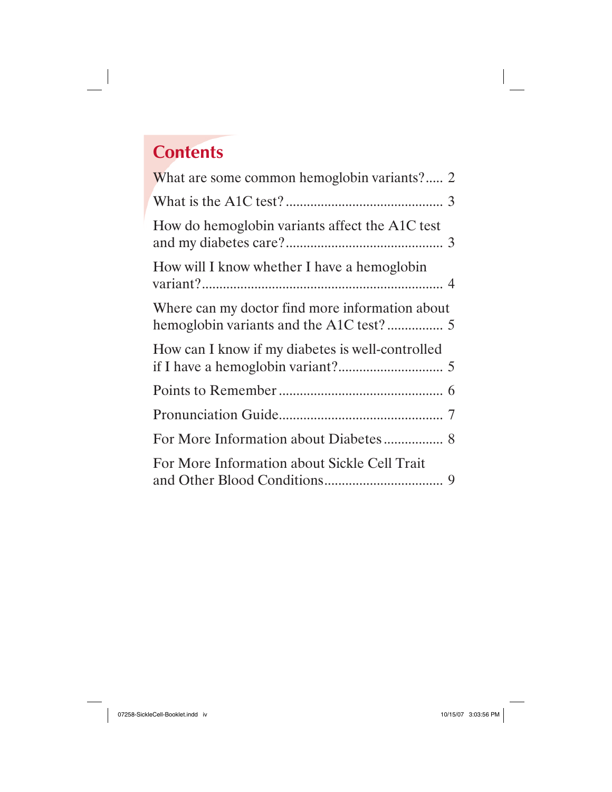# **Contents**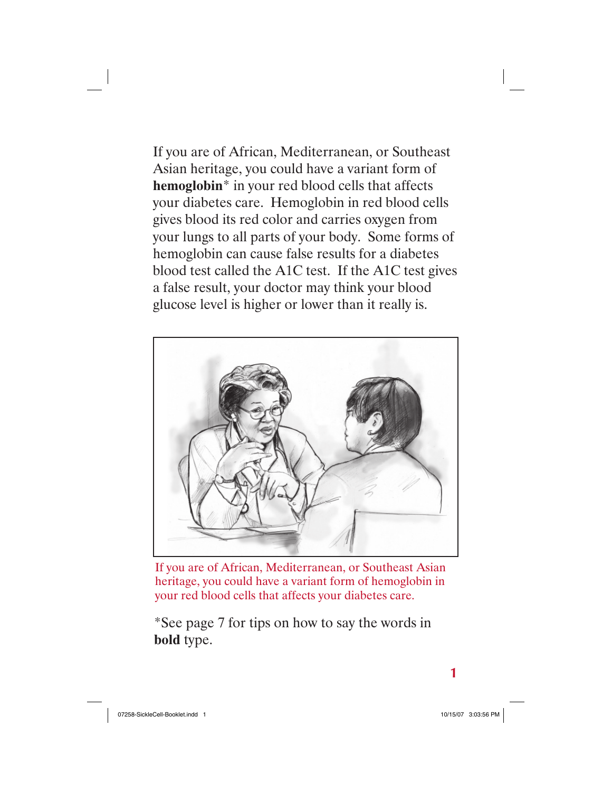If you are of African, Mediterranean, or Southeast Asian heritage, you could have a variant form of **hemoglobin**\* in your red blood cells that affects your diabetes care. Hemoglobin in red blood cells gives blood its red color and carries oxygen from your lungs to all parts of your body. Some forms of hemoglobin can cause false results for a diabetes blood test called the A1C test. If the A1C test gives a false result, your doctor may think your blood glucose level is higher or lower than it really is.



If you are of African, Mediterranean, or Southeast Asian heritage, you could have a variant form of hemoglobin in your red blood cells that affects your diabetes care.

\*See page 7 for tips on how to say the words in **bold** type.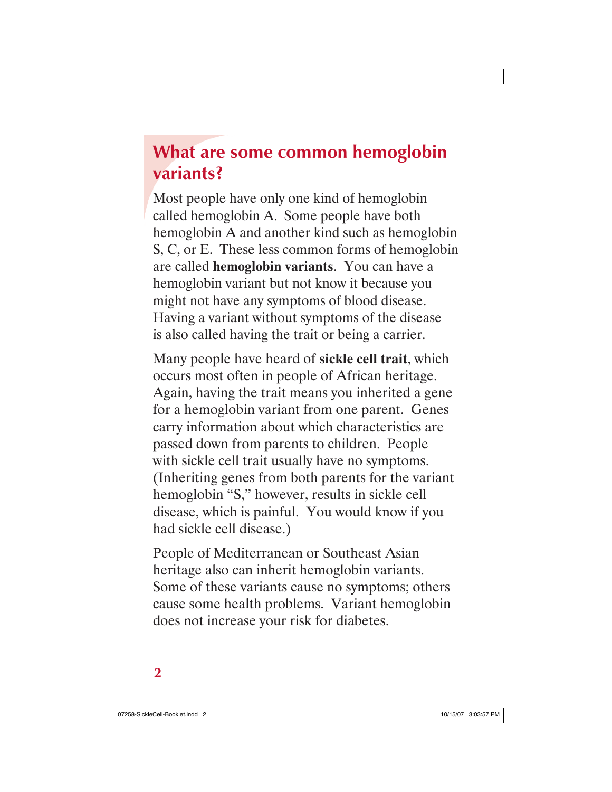# **What are some common hemoglobin variants?**

Most people have only one kind of hemoglobin called hemoglobin A. Some people have both hemoglobin A and another kind such as hemoglobin S, C, or E. These less common forms of hemoglobin are called **hemoglobin variants**. You can have a hemoglobin variant but not know it because you might not have any symptoms of blood disease. Having a variant without symptoms of the disease is also called having the trait or being a carrier.

Many people have heard of **sickle cell trait**, which occurs most often in people of African heritage. Again, having the trait means you inherited a gene for a hemoglobin variant from one parent. Genes carry information about which characteristics are passed down from parents to children. People with sickle cell trait usually have no symptoms. (Inheriting genes from both parents for the variant hemoglobin "S," however, results in sickle cell disease, which is painful. You would know if you had sickle cell disease.)

People of Mediterranean or Southeast Asian heritage also can inherit hemoglobin variants. Some of these variants cause no symptoms; others cause some health problems. Variant hemoglobin does not increase your risk for diabetes.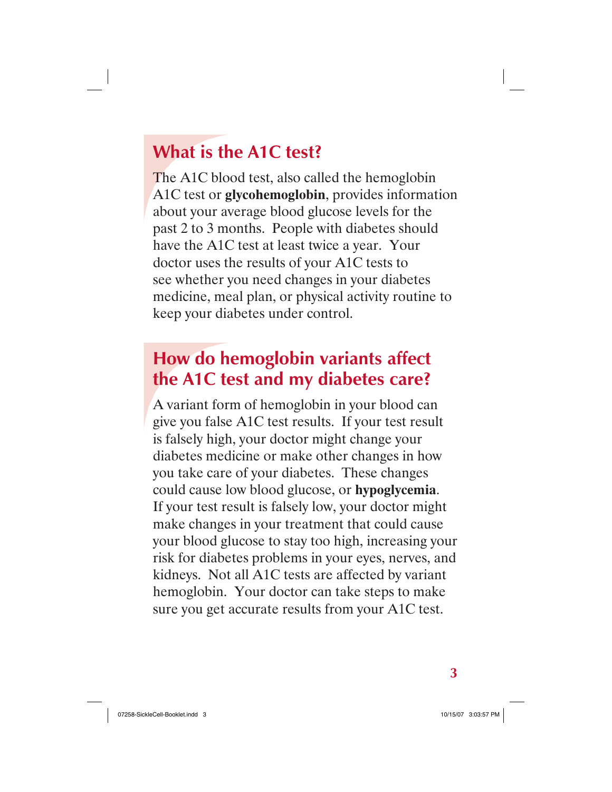# **What is the A1C test?**

The A1C blood test, also called the hemoglobin A1C test or **glycohemoglobin**, provides information about your average blood glucose levels for the past 2 to 3 months. People with diabetes should have the A1C test at least twice a year. Your doctor uses the results of your A1C tests to see whether you need changes in your diabetes medicine, meal plan, or physical activity routine to keep your diabetes under control.

# **How do hemoglobin variants affect the A1C test and my diabetes care?**

A variant form of hemoglobin in your blood can give you false A1C test results. If your test result is falsely high, your doctor might change your diabetes medicine or make other changes in how you take care of your diabetes. These changes could cause low blood glucose, or **hypoglycemia**. If your test result is falsely low, your doctor might make changes in your treatment that could cause your blood glucose to stay too high, increasing your risk for diabetes problems in your eyes, nerves, and kidneys. Not all A1C tests are affected by variant hemoglobin. Your doctor can take steps to make sure you get accurate results from your A1C test.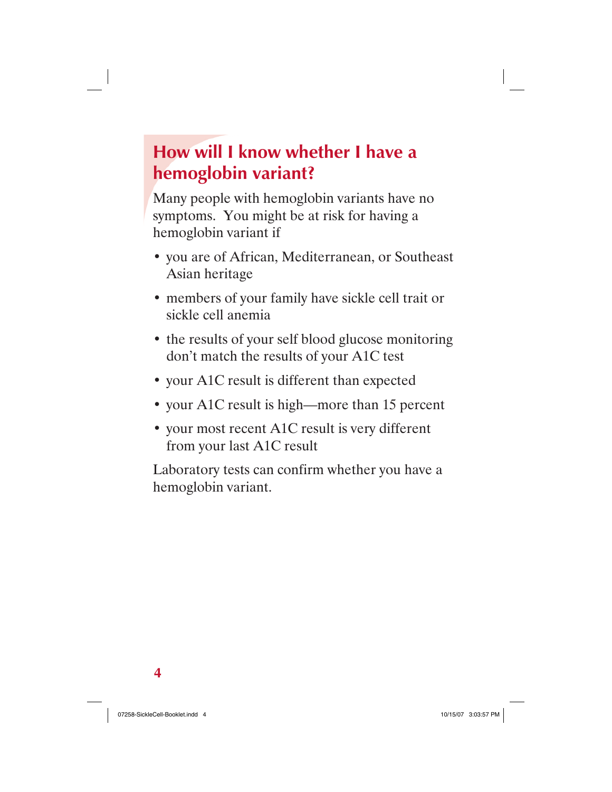# **How will I know whether I have a hemoglobin variant?**

Many people with hemoglobin variants have no symptoms. You might be at risk for having a hemoglobin variant if

- you are of African, Mediterranean, or Southeast Asian heritage
- members of your family have sickle cell trait or sickle cell anemia
- the results of your self blood glucose monitoring don't match the results of your A1C test
- your A1C result is different than expected
- your A1C result is high—more than 15 percent
- your most recent A1C result is very different from your last A1C result

Laboratory tests can confirm whether you have a hemoglobin variant.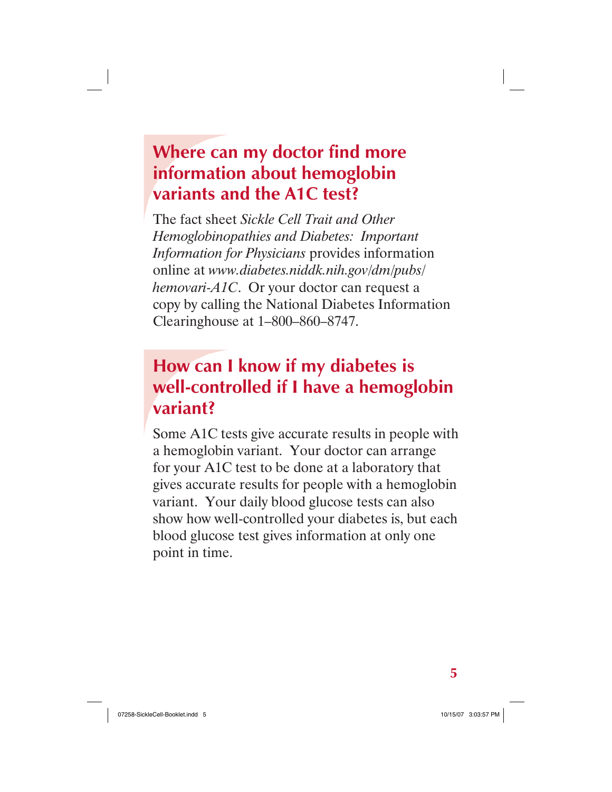# **Where can my doctor find more information about hemoglobin variants and the A1C test?**

The fact sheet *Sickle Cell Trait and Other Hemoglobinopathies and Diabetes: Important Information for Physicians* provides information online at *www.diabetes.niddk.nih.gov/dm/pubs/ hemovari-A1C*. Or your doctor can request a copy by calling the National Diabetes Information Clearinghouse at 1–800–860–8747.

### **How can I know if my diabetes is well-controlled if I have a hemoglobin variant?**

Some A1C tests give accurate results in people with a hemoglobin variant. Your doctor can arrange for your A1C test to be done at a laboratory that gives accurate results for people with a hemoglobin variant. Your daily blood glucose tests can also show how well-controlled your diabetes is, but each blood glucose test gives information at only one point in time.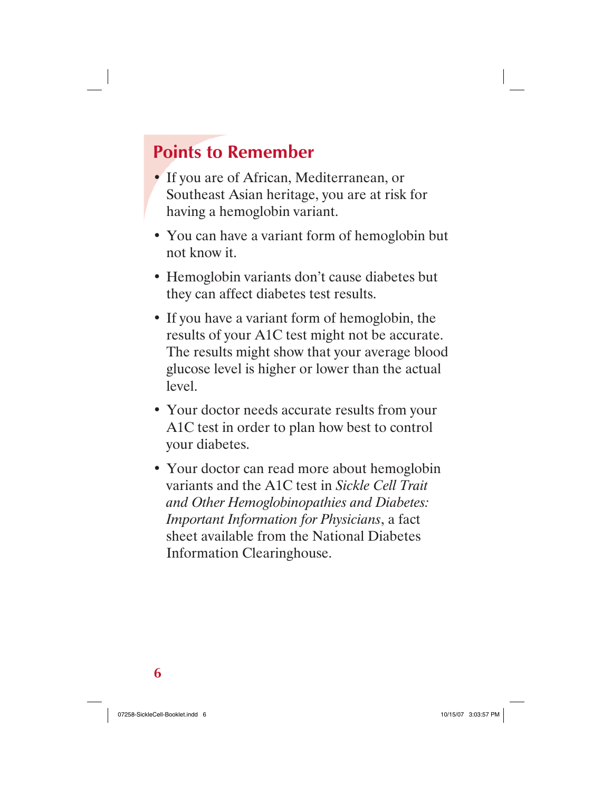# **Points to Remember**

- If you are of African, Mediterranean, or Southeast Asian heritage, you are at risk for having a hemoglobin variant.
- You can have a variant form of hemoglobin but not know it.
- Hemoglobin variants don't cause diabetes but they can affect diabetes test results.
- If you have a variant form of hemoglobin, the results of your A1C test might not be accurate. The results might show that your average blood glucose level is higher or lower than the actual level.
- Your doctor needs accurate results from your A1C test in order to plan how best to control your diabetes.
- Your doctor can read more about hemoglobin variants and the A1C test in *Sickle Cell Trait and Other Hemoglobinopathies and Diabetes: Important Information for Physicians*, a fact sheet available from the National Diabetes Information Clearinghouse.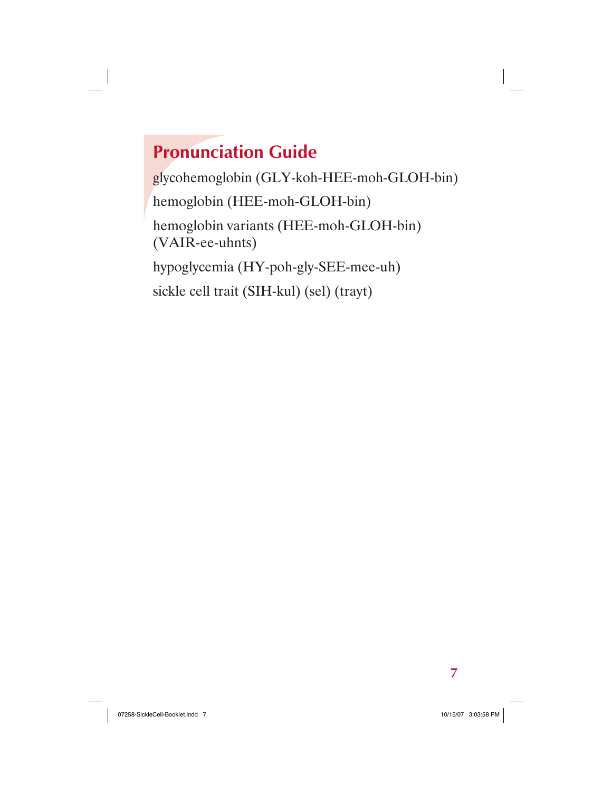# **Pronunciation Guide**

glycohemoglobin (GLY-koh-HEE-moh-GLOH-bin) hemoglobin (HEE-moh-GLOH-bin) hemoglobin variants (HEE-moh-GLOH-bin) (VAIR-ee-uhnts) hypoglycemia (HY-poh-gly-SEE-mee-uh) sickle cell trait (SIH-kul) (sel) (trayt)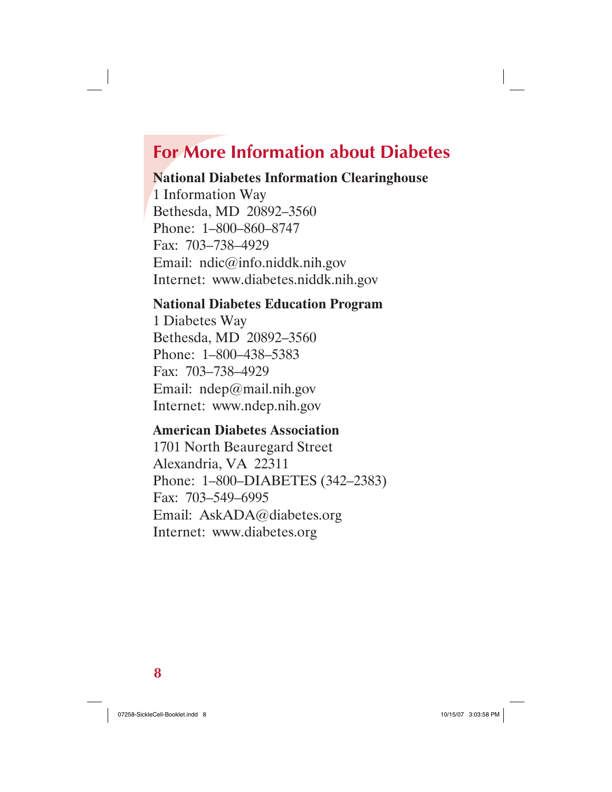# **For More Information about Diabetes**

#### **National Diabetes Information Clearinghouse**

1 Information Way Bethesda, MD 20892–3560 Phone: 1–800–860–8747 Fax: 703–738–4929 Email: ndic@info.niddk.nih.gov Internet: www.diabetes.niddk.nih.gov

#### **National Diabetes Education Program**

1 Diabetes Way Bethesda, MD 20892–3560 Phone: 1–800–438–5383 Fax: 703–738–4929 Email: ndep@mail.nih.gov Internet: www.ndep.nih.gov

#### **American Diabetes Association**

1701 North Beauregard Street Alexandria, VA 22311 Phone: 1–800–DIABETES (342–2383) Fax: 703–549–6995 Email: AskADA@diabetes.org Internet: www.diabetes.org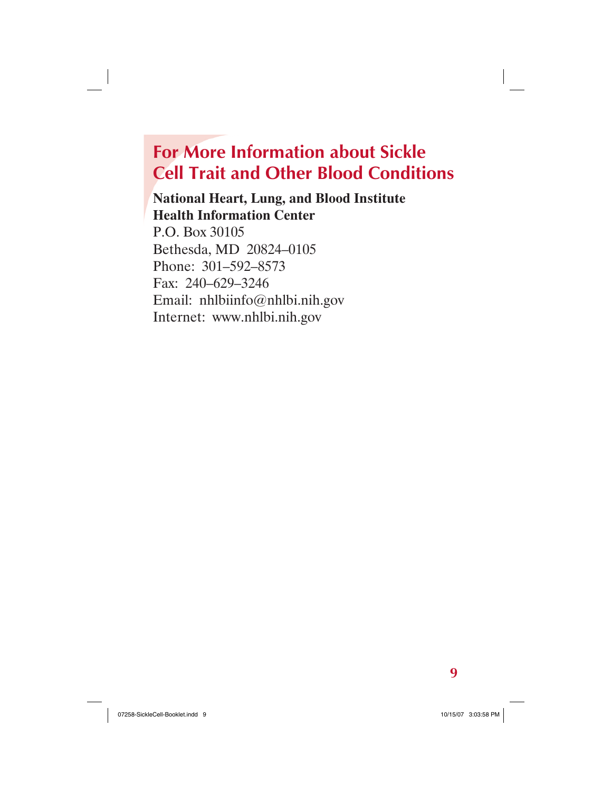# **For More Information about Sickle Cell Trait and Other Blood Conditions**

#### **National Heart, Lung, and Blood Institute Health Information Center**

P.O. Box 30105 Bethesda, MD 20824–0105 Phone: 301–592–8573 Fax: 240–629–3246 Email: nhlbiinfo@nhlbi.nih.gov Internet: www.nhlbi.nih.gov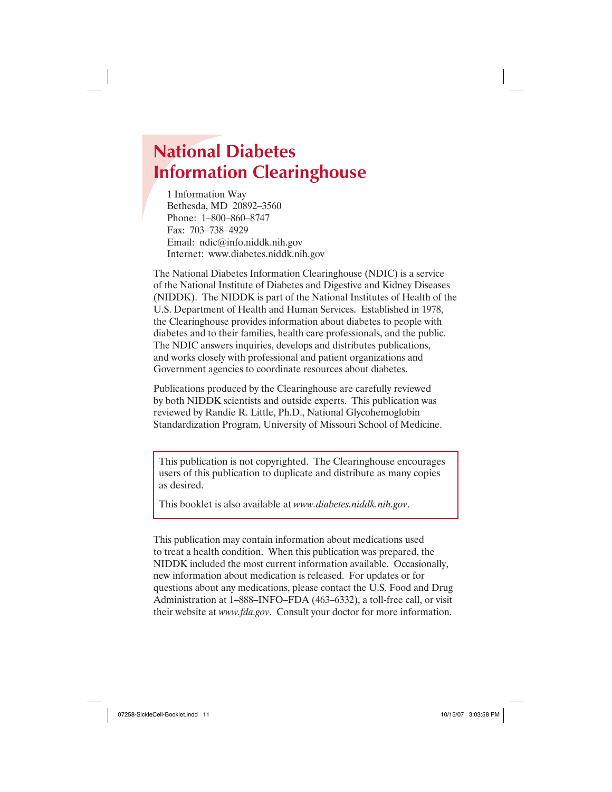# **National Diabetes Information Clearinghouse**

1 Information Way Bethesda, MD 20892–3560 Phone: 1–800–860–8747 Fax: 703–738–4929 Email: ndic@info.niddk.nih.gov Internet: www.diabetes.niddk.nih.gov

The National Diabetes Information Clearinghouse (NDIC) is a service of the National Institute of Diabetes and Digestive and Kidney Diseases (NIDDK). The NIDDK is part of the National Institutes of Health of the U.S. Department of Health and Human Services. Established in 1978, the Clearinghouse provides information about diabetes to people with diabetes and to their families, health care professionals, and the public. The NDIC answers inquiries, develops and distributes publications, and works closely with professional and patient organizations and Government agencies to coordinate resources about diabetes.

Publications produced by the Clearinghouse are carefully reviewed by both NIDDK scientists and outside experts. This publication was reviewed by Randie R. Little, Ph.D., National Glycohemoglobin Standardization Program, University of Missouri School of Medicine.

This publication is not copyrighted. The Clearinghouse encourages users of this publication to duplicate and distribute as many copies as desired.

This booklet is also available at *www.diabetes.niddk.nih.gov*.

This publication may contain information about medications used to treat a health condition. When this publication was prepared, the NIDDK included the most current information available. Occasionally, new information about medication is released. For updates or for questions about any medications, please contact the U.S. Food and Drug Administration at 1–888–INFO–FDA (463–6332), a toll-free call, or visit their website at *www.fda.gov*. Consult your doctor for more information.